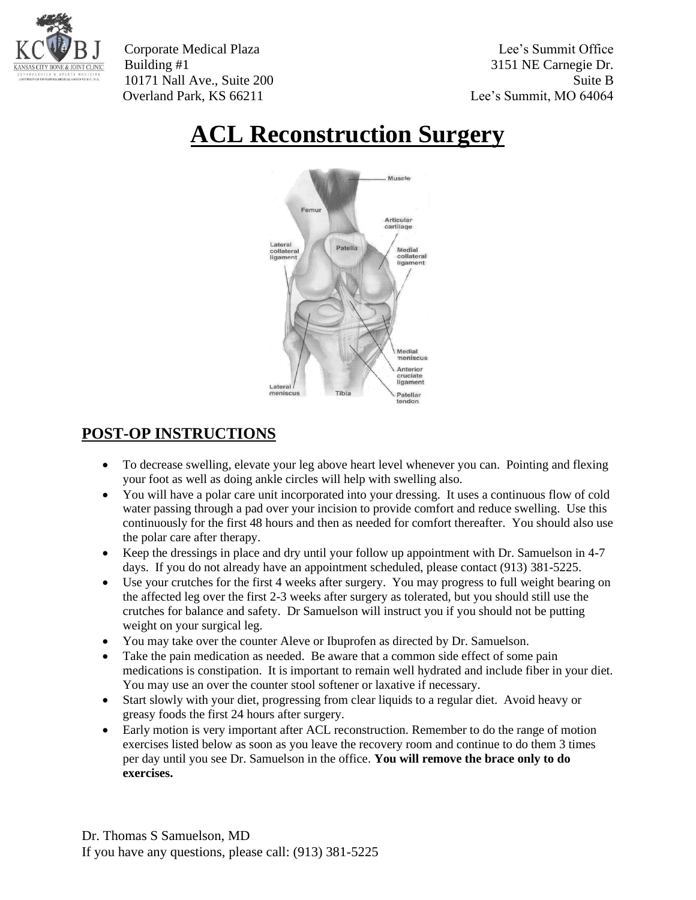

Corporate Medical Plaza Lee's Summit Office Building #1 3151 NE Carnegie Dr. 10171 Nall Ave., Suite 200 Suite B Overland Park, KS 66211 Lee's Summit, MO 64064

# **ACL Reconstruction Surgery**



## **POST-OP INSTRUCTIONS**

- To decrease swelling, elevate your leg above heart level whenever you can. Pointing and flexing your foot as well as doing ankle circles will help with swelling also.
- You will have a polar care unit incorporated into your dressing. It uses a continuous flow of cold water passing through a pad over your incision to provide comfort and reduce swelling. Use this continuously for the first 48 hours and then as needed for comfort thereafter. You should also use the polar care after therapy.
- Keep the dressings in place and dry until your follow up appointment with Dr. Samuelson in 4-7 days. If you do not already have an appointment scheduled, please contact (913) 381-5225.
- Use your crutches for the first 4 weeks after surgery. You may progress to full weight bearing on the affected leg over the first 2-3 weeks after surgery as tolerated, but you should still use the crutches for balance and safety. Dr Samuelson will instruct you if you should not be putting weight on your surgical leg.
- You may take over the counter Aleve or Ibuprofen as directed by Dr. Samuelson.
- Take the pain medication as needed. Be aware that a common side effect of some pain medications is constipation. It is important to remain well hydrated and include fiber in your diet. You may use an over the counter stool softener or laxative if necessary.
- Start slowly with your diet, progressing from clear liquids to a regular diet. Avoid heavy or greasy foods the first 24 hours after surgery.
- Early motion is very important after ACL reconstruction. Remember to do the range of motion exercises listed below as soon as you leave the recovery room and continue to do them 3 times per day until you see Dr. Samuelson in the office. **You will remove the brace only to do exercises.**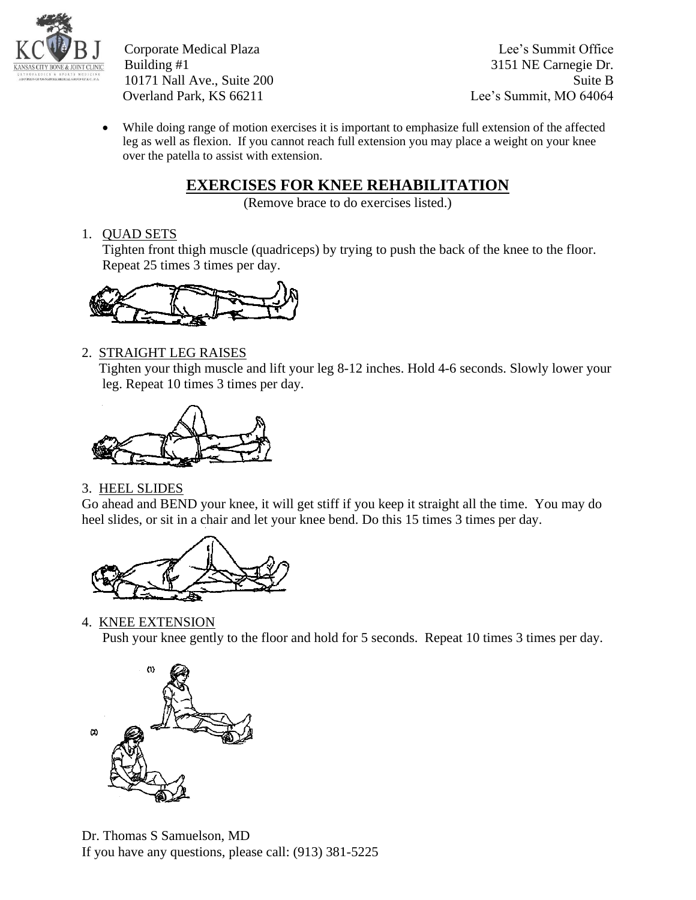

Corporate Medical Plaza Lee's Summit Office Building #1 3151 NE Carnegie Dr. 10171 Nall Ave., Suite 200 Suite B Overland Park, KS 66211 Lee's Summit, MO 64064

• While doing range of motion exercises it is important to emphasize full extension of the affected leg as well as flexion. If you cannot reach full extension you may place a weight on your knee over the patella to assist with extension.

## **EXERCISES FOR KNEE REHABILITATION**

(Remove brace to do exercises listed.)

1. QUAD SETS

Tighten front thigh muscle (quadriceps) by trying to push the back of the knee to the floor. Repeat 25 times 3 times per day.



#### 2. STRAIGHT LEG RAISES

 Tighten your thigh muscle and lift your leg 8-12 inches. Hold 4-6 seconds. Slowly lower your leg. Repeat 10 times 3 times per day.



### 3. HEEL SLIDES

Go ahead and BEND your knee, it will get stiff if you keep it straight all the time. You may do heel slides, or sit in a chair and let your knee bend. Do this 15 times 3 times per day.



4. KNEE EXTENSION

Push your knee gently to the floor and hold for 5 seconds. Repeat 10 times 3 times per day.